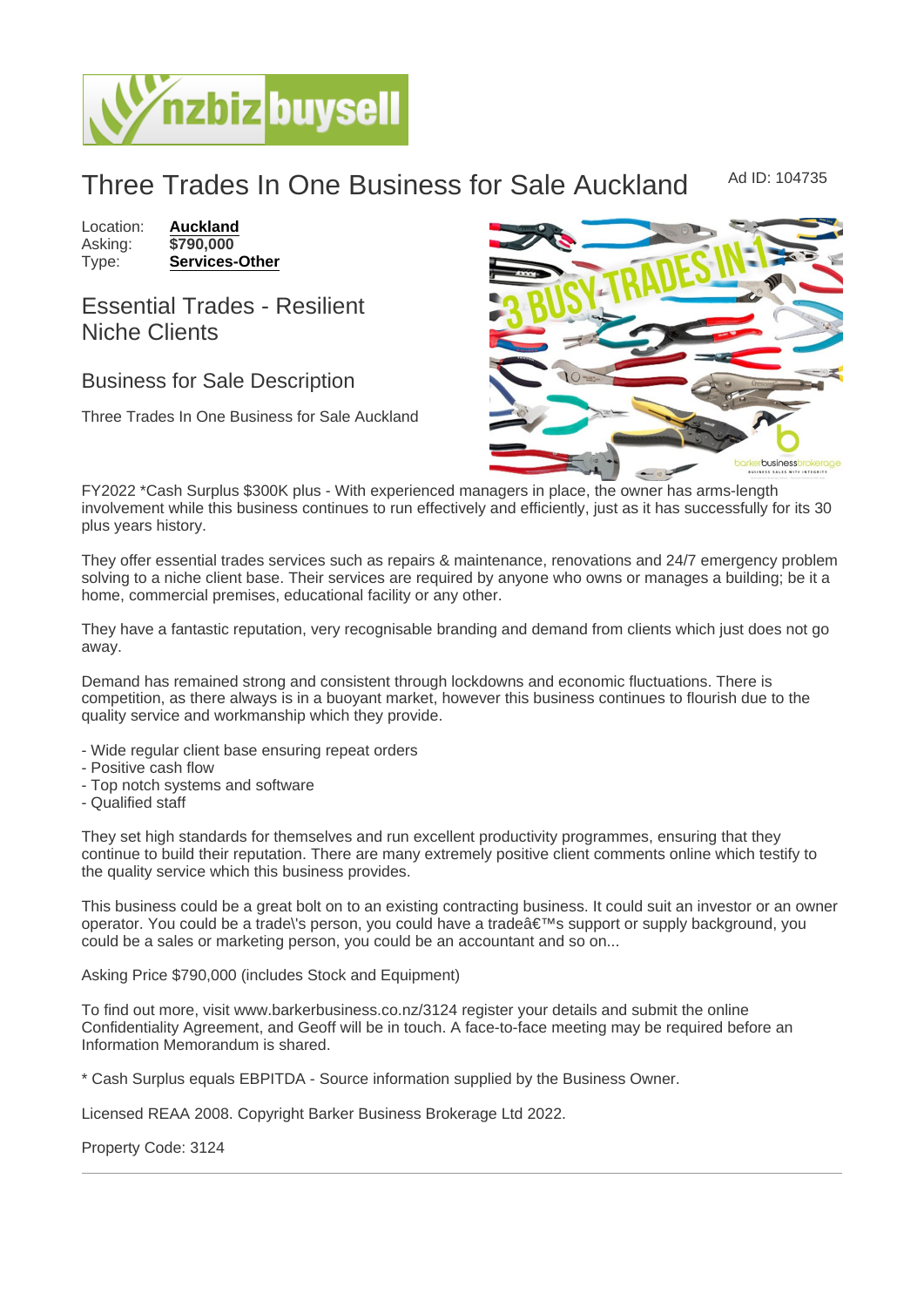## Three Trades In One Business for Sale Auckland Ad ID: 104735

Location: [Auckland](https://www.nzbizbuysell.co.nz/businesses-for-sale/location/Auckland) Asking: \$790,000<br>Type: Services-[Services-Other](https://www.nzbizbuysell.co.nz/businesses-for-sale/Services/New-Zealand)

Essential Trades - Resilient Niche Clients

## Business for Sale Description

Three Trades In One Business for Sale Auckland

FY2022 \*Cash Surplus \$300K plus - With experienced managers in place, the owner has arms-length involvement while this business continues to run effectively and efficiently, just as it has successfully for its 30 plus years history.

They offer essential trades services such as repairs & maintenance, renovations and 24/7 emergency problem solving to a niche client base. Their services are required by anyone who owns or manages a building; be it a home, commercial premises, educational facility or any other.

They have a fantastic reputation, very recognisable branding and demand from clients which just does not go away.

Demand has remained strong and consistent through lockdowns and economic fluctuations. There is competition, as there always is in a buoyant market, however this business continues to flourish due to the quality service and workmanship which they provide.

- Wide regular client base ensuring repeat orders
- Positive cash flow
- Top notch systems and software
- Qualified staff

They set high standards for themselves and run excellent productivity programmes, ensuring that they continue to build their reputation. There are many extremely positive client comments online which testify to the quality service which this business provides.

This business could be a great bolt on to an existing contracting business. It could suit an investor or an owner operator. You could be a trade\'s person, you could have a trade a  $\epsilon$ <sup>™</sup>s support or supply background, you could be a sales or marketing person, you could be an accountant and so on...

Asking Price \$790,000 (includes Stock and Equipment)

To find out more, visit www.barkerbusiness.co.nz/3124 register your details and submit the online Confidentiality Agreement, and Geoff will be in touch. A face-to-face meeting may be required before an Information Memorandum is shared.

\* Cash Surplus equals EBPITDA - Source information supplied by the Business Owner.

Licensed REAA 2008. Copyright Barker Business Brokerage Ltd 2022.

Property Code: 3124